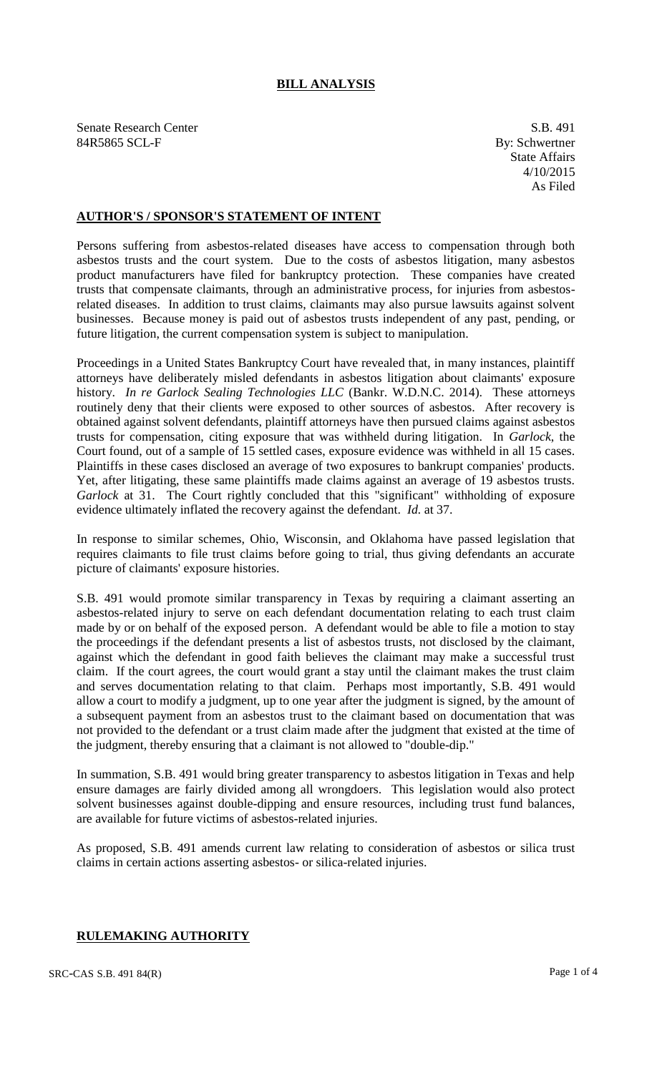# **BILL ANALYSIS**

Senate Research Center S.B. 491 84R5865 SCL-F By: Schwertner

State Affairs 4/10/2015 As Filed

# **AUTHOR'S / SPONSOR'S STATEMENT OF INTENT**

Persons suffering from asbestos-related diseases have access to compensation through both asbestos trusts and the court system. Due to the costs of asbestos litigation, many asbestos product manufacturers have filed for bankruptcy protection. These companies have created trusts that compensate claimants, through an administrative process, for injuries from asbestosrelated diseases. In addition to trust claims, claimants may also pursue lawsuits against solvent businesses. Because money is paid out of asbestos trusts independent of any past, pending, or future litigation, the current compensation system is subject to manipulation.

Proceedings in a United States Bankruptcy Court have revealed that, in many instances, plaintiff attorneys have deliberately misled defendants in asbestos litigation about claimants' exposure history. *In re Garlock Sealing Technologies LLC* (Bankr. W.D.N.C. 2014). These attorneys routinely deny that their clients were exposed to other sources of asbestos. After recovery is obtained against solvent defendants, plaintiff attorneys have then pursued claims against asbestos trusts for compensation, citing exposure that was withheld during litigation. In *Garlock*, the Court found, out of a sample of 15 settled cases, exposure evidence was withheld in all 15 cases. Plaintiffs in these cases disclosed an average of two exposures to bankrupt companies' products. Yet, after litigating, these same plaintiffs made claims against an average of 19 asbestos trusts. *Garlock* at 31. The Court rightly concluded that this "significant" withholding of exposure evidence ultimately inflated the recovery against the defendant. *Id.* at 37.

In response to similar schemes, Ohio, Wisconsin, and Oklahoma have passed legislation that requires claimants to file trust claims before going to trial, thus giving defendants an accurate picture of claimants' exposure histories.

S.B. 491 would promote similar transparency in Texas by requiring a claimant asserting an asbestos-related injury to serve on each defendant documentation relating to each trust claim made by or on behalf of the exposed person. A defendant would be able to file a motion to stay the proceedings if the defendant presents a list of asbestos trusts, not disclosed by the claimant, against which the defendant in good faith believes the claimant may make a successful trust claim. If the court agrees, the court would grant a stay until the claimant makes the trust claim and serves documentation relating to that claim. Perhaps most importantly, S.B. 491 would allow a court to modify a judgment, up to one year after the judgment is signed, by the amount of a subsequent payment from an asbestos trust to the claimant based on documentation that was not provided to the defendant or a trust claim made after the judgment that existed at the time of the judgment, thereby ensuring that a claimant is not allowed to "double-dip."

In summation, S.B. 491 would bring greater transparency to asbestos litigation in Texas and help ensure damages are fairly divided among all wrongdoers. This legislation would also protect solvent businesses against double-dipping and ensure resources, including trust fund balances, are available for future victims of asbestos-related injuries.

As proposed, S.B. 491 amends current law relating to consideration of asbestos or silica trust claims in certain actions asserting asbestos- or silica-related injuries.

## **RULEMAKING AUTHORITY**

 $SRC-CAS S.B. 491 84(R)$  Page 1 of 4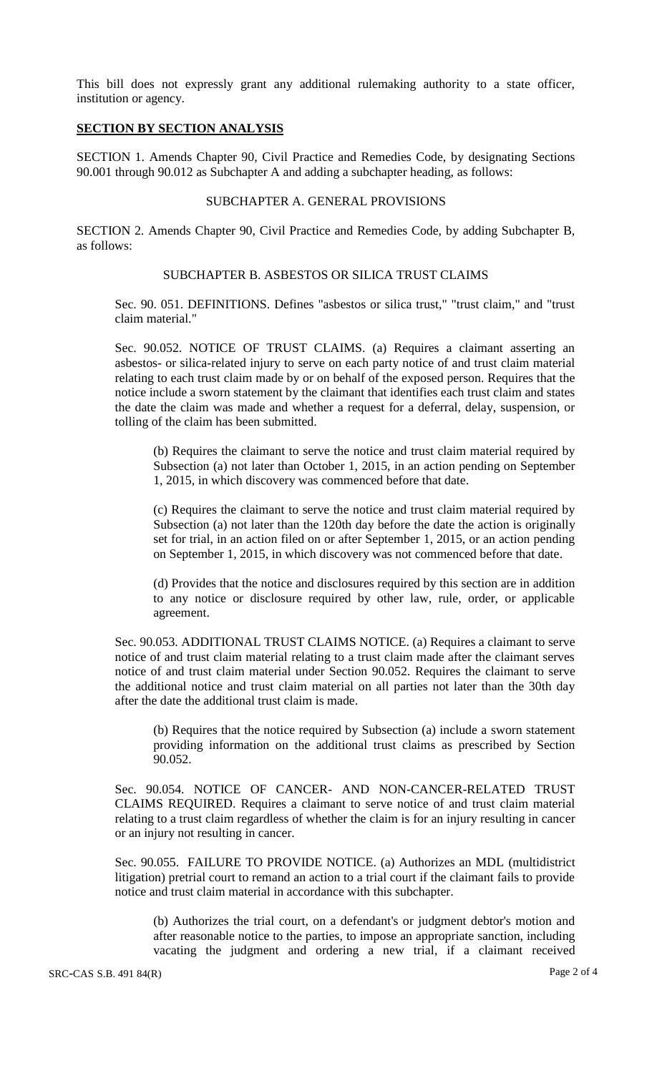This bill does not expressly grant any additional rulemaking authority to a state officer, institution or agency.

### **SECTION BY SECTION ANALYSIS**

SECTION 1. Amends Chapter 90, Civil Practice and Remedies Code, by designating Sections 90.001 through 90.012 as Subchapter A and adding a subchapter heading, as follows:

# SUBCHAPTER A. GENERAL PROVISIONS

SECTION 2. Amends Chapter 90, Civil Practice and Remedies Code, by adding Subchapter B, as follows:

#### SUBCHAPTER B. ASBESTOS OR SILICA TRUST CLAIMS

Sec. 90. 051. DEFINITIONS. Defines "asbestos or silica trust," "trust claim," and "trust claim material."

Sec. 90.052. NOTICE OF TRUST CLAIMS. (a) Requires a claimant asserting an asbestos- or silica-related injury to serve on each party notice of and trust claim material relating to each trust claim made by or on behalf of the exposed person. Requires that the notice include a sworn statement by the claimant that identifies each trust claim and states the date the claim was made and whether a request for a deferral, delay, suspension, or tolling of the claim has been submitted.

(b) Requires the claimant to serve the notice and trust claim material required by Subsection (a) not later than October 1, 2015, in an action pending on September 1, 2015, in which discovery was commenced before that date.

(c) Requires the claimant to serve the notice and trust claim material required by Subsection (a) not later than the 120th day before the date the action is originally set for trial, in an action filed on or after September 1, 2015, or an action pending on September 1, 2015, in which discovery was not commenced before that date.

(d) Provides that the notice and disclosures required by this section are in addition to any notice or disclosure required by other law, rule, order, or applicable agreement.

Sec. 90.053. ADDITIONAL TRUST CLAIMS NOTICE. (a) Requires a claimant to serve notice of and trust claim material relating to a trust claim made after the claimant serves notice of and trust claim material under Section 90.052. Requires the claimant to serve the additional notice and trust claim material on all parties not later than the 30th day after the date the additional trust claim is made.

(b) Requires that the notice required by Subsection (a) include a sworn statement providing information on the additional trust claims as prescribed by Section 90.052.

Sec. 90.054. NOTICE OF CANCER- AND NON-CANCER-RELATED TRUST CLAIMS REQUIRED. Requires a claimant to serve notice of and trust claim material relating to a trust claim regardless of whether the claim is for an injury resulting in cancer or an injury not resulting in cancer.

Sec. 90.055. FAILURE TO PROVIDE NOTICE. (a) Authorizes an MDL (multidistrict litigation) pretrial court to remand an action to a trial court if the claimant fails to provide notice and trust claim material in accordance with this subchapter.

(b) Authorizes the trial court, on a defendant's or judgment debtor's motion and after reasonable notice to the parties, to impose an appropriate sanction, including vacating the judgment and ordering a new trial, if a claimant received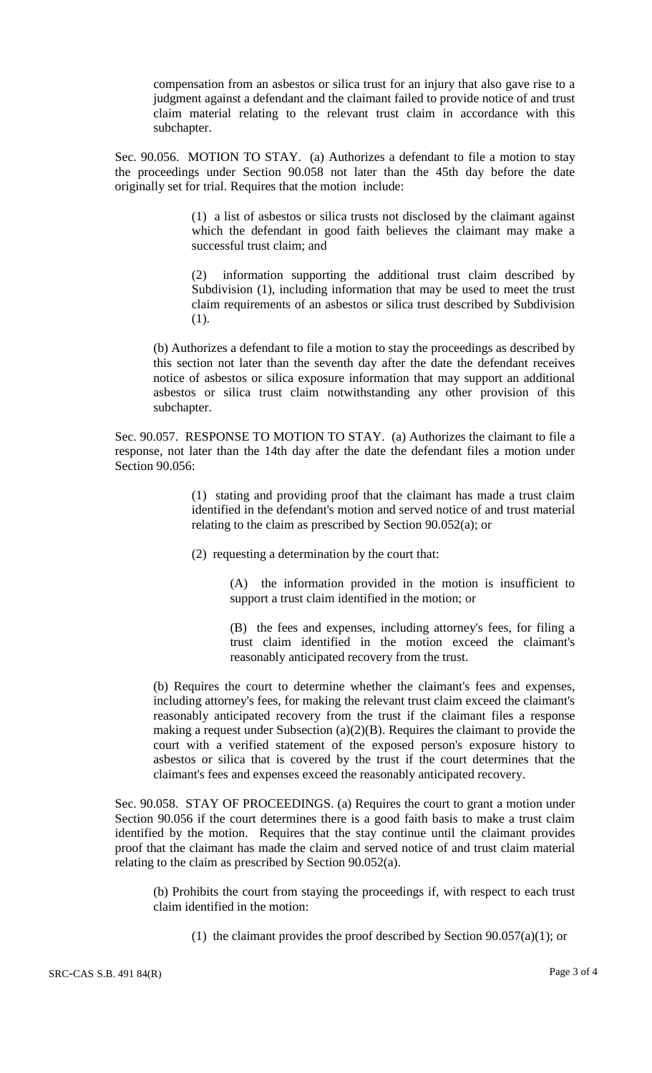compensation from an asbestos or silica trust for an injury that also gave rise to a judgment against a defendant and the claimant failed to provide notice of and trust claim material relating to the relevant trust claim in accordance with this subchapter.

Sec. 90.056. MOTION TO STAY. (a) Authorizes a defendant to file a motion to stay the proceedings under Section 90.058 not later than the 45th day before the date originally set for trial. Requires that the motion include:

> (1) a list of asbestos or silica trusts not disclosed by the claimant against which the defendant in good faith believes the claimant may make a successful trust claim; and

> (2) information supporting the additional trust claim described by Subdivision (1), including information that may be used to meet the trust claim requirements of an asbestos or silica trust described by Subdivision (1).

(b) Authorizes a defendant to file a motion to stay the proceedings as described by this section not later than the seventh day after the date the defendant receives notice of asbestos or silica exposure information that may support an additional asbestos or silica trust claim notwithstanding any other provision of this subchapter.

Sec. 90.057. RESPONSE TO MOTION TO STAY. (a) Authorizes the claimant to file a response, not later than the 14th day after the date the defendant files a motion under Section 90.056:

> (1) stating and providing proof that the claimant has made a trust claim identified in the defendant's motion and served notice of and trust material relating to the claim as prescribed by Section 90.052(a); or

(2) requesting a determination by the court that:

(A) the information provided in the motion is insufficient to support a trust claim identified in the motion; or

(B) the fees and expenses, including attorney's fees, for filing a trust claim identified in the motion exceed the claimant's reasonably anticipated recovery from the trust.

(b) Requires the court to determine whether the claimant's fees and expenses, including attorney's fees, for making the relevant trust claim exceed the claimant's reasonably anticipated recovery from the trust if the claimant files a response making a request under Subsection (a)(2)(B). Requires the claimant to provide the court with a verified statement of the exposed person's exposure history to asbestos or silica that is covered by the trust if the court determines that the claimant's fees and expenses exceed the reasonably anticipated recovery.

Sec. 90.058. STAY OF PROCEEDINGS. (a) Requires the court to grant a motion under Section 90.056 if the court determines there is a good faith basis to make a trust claim identified by the motion. Requires that the stay continue until the claimant provides proof that the claimant has made the claim and served notice of and trust claim material relating to the claim as prescribed by Section 90.052(a).

(b) Prohibits the court from staying the proceedings if, with respect to each trust claim identified in the motion:

(1) the claimant provides the proof described by Section  $90.057(a)(1)$ ; or